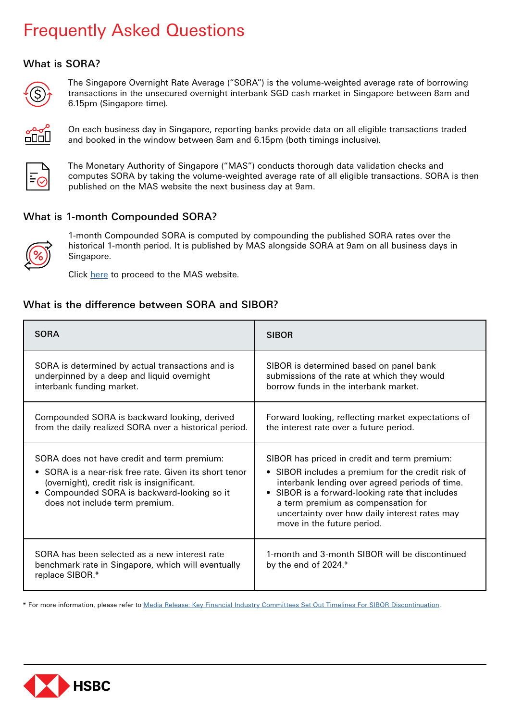# Frequently Asked Questions

# What is SORA?



The Singapore Overnight Rate Average ("SORA") is the volume-weighted average rate of borrowing transactions in the unsecured overnight interbank SGD cash market in Singapore between 8am and 6.15pm (Singapore time).



On each business day in Singapore, reporting banks provide data on all eligible transactions traded and booked in the window between 8am and 6.15pm (both timings inclusive).



The Monetary Authority of Singapore ("MAS") conducts thorough data validation checks and computes SORA by taking the volume-weighted average rate of all eligible transactions. SORA is then published on the MAS website the next business day at 9am.

# What is 1-month Compounded SORA?



1-month Compounded SORA is computed by compounding the published SORA rates over the historical 1-month period. It is published by MAS alongside SORA at 9am on all business days in Singapore.

Click [here](https://eservices.mas.gov.sg/statistics/dir/DomesticInterestRates.aspx) to proceed to the MAS website.

#### What is the difference between SORA and SIBOR?

| <b>SORA</b>                                                                                                                                                                                                                          | <b>SIBOR</b>                                                                                                                                                                                                                                                                                                                |
|--------------------------------------------------------------------------------------------------------------------------------------------------------------------------------------------------------------------------------------|-----------------------------------------------------------------------------------------------------------------------------------------------------------------------------------------------------------------------------------------------------------------------------------------------------------------------------|
| SORA is determined by actual transactions and is<br>underpinned by a deep and liquid overnight<br>interbank funding market.                                                                                                          | SIBOR is determined based on panel bank<br>submissions of the rate at which they would<br>borrow funds in the interbank market.                                                                                                                                                                                             |
| Compounded SORA is backward looking, derived<br>from the daily realized SORA over a historical period.                                                                                                                               | Forward looking, reflecting market expectations of<br>the interest rate over a future period.                                                                                                                                                                                                                               |
| SORA does not have credit and term premium:<br>• SORA is a near-risk free rate. Given its short tenor<br>(overnight), credit risk is insignificant.<br>• Compounded SORA is backward-looking so it<br>does not include term premium. | SIBOR has priced in credit and term premium:<br>• SIBOR includes a premium for the credit risk of<br>interbank lending over agreed periods of time.<br>• SIBOR is a forward-looking rate that includes<br>a term premium as compensation for<br>uncertainty over how daily interest rates may<br>move in the future period. |
| SORA has been selected as a new interest rate<br>benchmark rate in Singapore, which will eventually<br>replace SIBOR.*                                                                                                               | 1-month and 3-month SIBOR will be discontinued<br>by the end of 2024.*                                                                                                                                                                                                                                                      |

\* For more information, please refer t[o Media Release: Key Financial Industry Committees Set Out Timelines For SIBOR Discontinuation.](https://abs.org.sg/docs/library/key-financial-industry-committees-set-out-timelines-for-sibor-discontinuation.pdf)